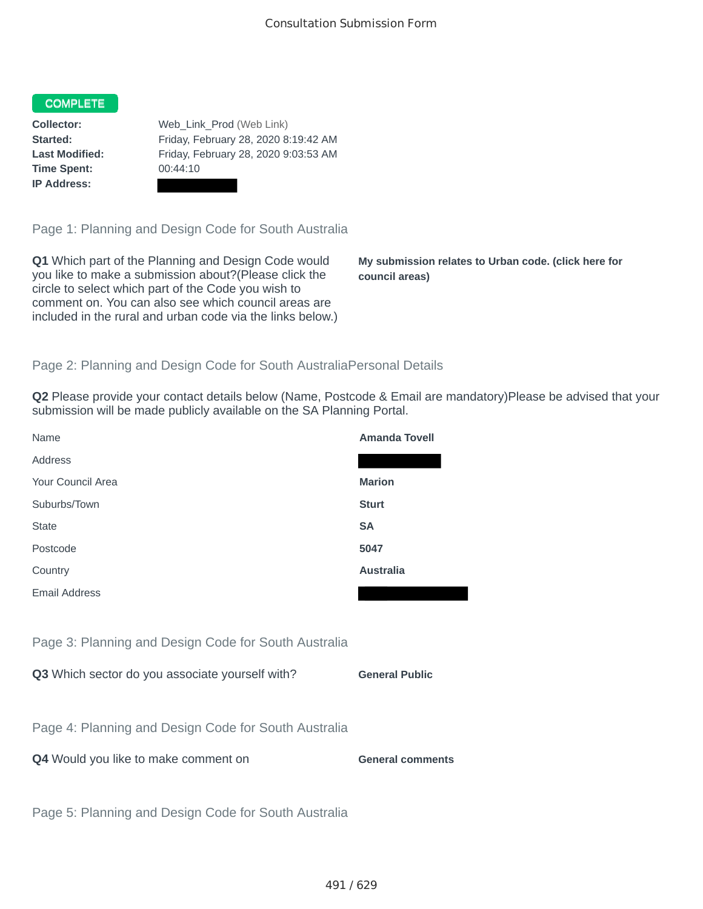## COMPLETE

**Time Spent:** 00:44:10 **IP Address:**

**Collector:** Web\_Link\_Prod (Web Link) **Started:** Friday, February 28, 2020 8:19:42 AM **Last Modified:** Friday, February 28, 2020 9:03:53 AM

Page 1: Planning and Design Code for South Australia

**Q1** Which part of the Planning and Design Code would you like to make a submission about?(Please click the circle to select which part of the Code you wish to comment on. You can also see which council areas are included in the rural and urban code via the links below.)

**My submission relates to Urban code. (click here for council areas)**

## Page 2: Planning and Design Code for South AustraliaPersonal Details

**Q2** Please provide your contact details below (Name, Postcode & Email are mandatory)Please be advised that your submission will be made publicly available on the SA Planning Portal.

| Name                                                 | <b>Amanda Tovell</b>    |
|------------------------------------------------------|-------------------------|
| Address                                              |                         |
| Your Council Area                                    | <b>Marion</b>           |
| Suburbs/Town                                         | <b>Sturt</b>            |
| <b>State</b>                                         | <b>SA</b>               |
| Postcode                                             | 5047                    |
| Country                                              | <b>Australia</b>        |
| <b>Email Address</b>                                 |                         |
|                                                      |                         |
| Page 3: Planning and Design Code for South Australia |                         |
| Q3 Which sector do you associate yourself with?      | <b>General Public</b>   |
|                                                      |                         |
| Page 4: Planning and Design Code for South Australia |                         |
| Q4 Would you like to make comment on                 | <b>General comments</b> |
|                                                      |                         |
| Page 5: Planning and Design Code for South Australia |                         |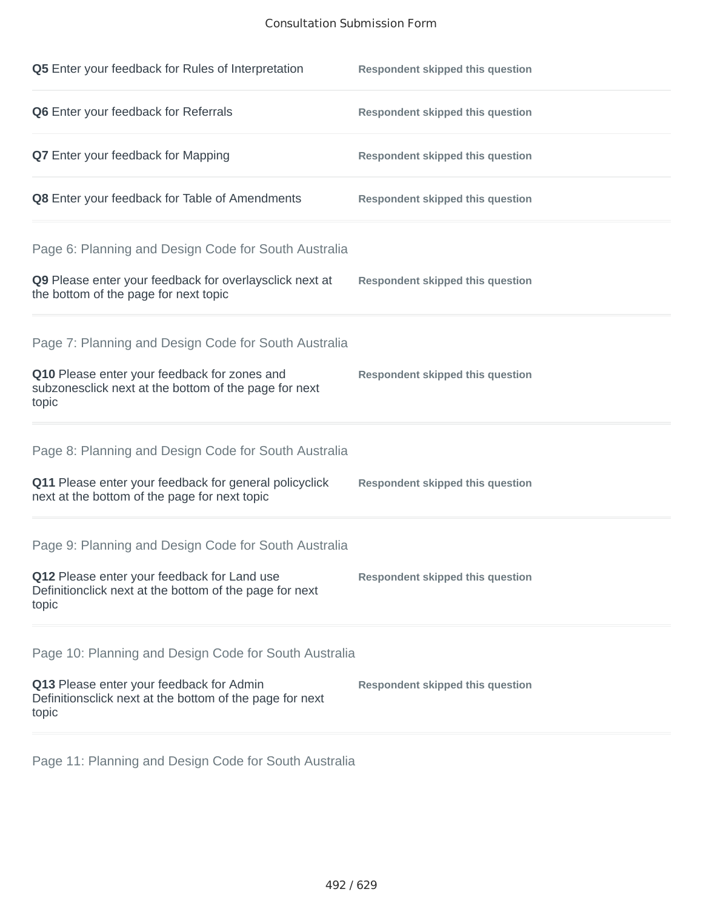## Consultation Submission Form

| Q5 Enter your feedback for Rules of Interpretation                                                              | <b>Respondent skipped this question</b> |
|-----------------------------------------------------------------------------------------------------------------|-----------------------------------------|
| Q6 Enter your feedback for Referrals                                                                            | <b>Respondent skipped this question</b> |
| <b>Q7</b> Enter your feedback for Mapping                                                                       | <b>Respondent skipped this question</b> |
| Q8 Enter your feedback for Table of Amendments                                                                  | <b>Respondent skipped this question</b> |
| Page 6: Planning and Design Code for South Australia                                                            |                                         |
| Q9 Please enter your feedback for overlaysclick next at<br>the bottom of the page for next topic                | <b>Respondent skipped this question</b> |
| Page 7: Planning and Design Code for South Australia                                                            |                                         |
| Q10 Please enter your feedback for zones and<br>subzonesclick next at the bottom of the page for next<br>topic  | <b>Respondent skipped this question</b> |
| Page 8: Planning and Design Code for South Australia                                                            |                                         |
| Q11 Please enter your feedback for general policyclick<br>next at the bottom of the page for next topic         | <b>Respondent skipped this question</b> |
| Page 9: Planning and Design Code for South Australia                                                            |                                         |
| Q12 Please enter your feedback for Land use<br>Definitionclick next at the bottom of the page for next<br>topic | <b>Respondent skipped this question</b> |
| Page 10: Planning and Design Code for South Australia                                                           |                                         |
| Q13 Please enter your feedback for Admin<br>Definitionsclick next at the bottom of the page for next<br>topic   | <b>Respondent skipped this question</b> |

Page 11: Planning and Design Code for South Australia